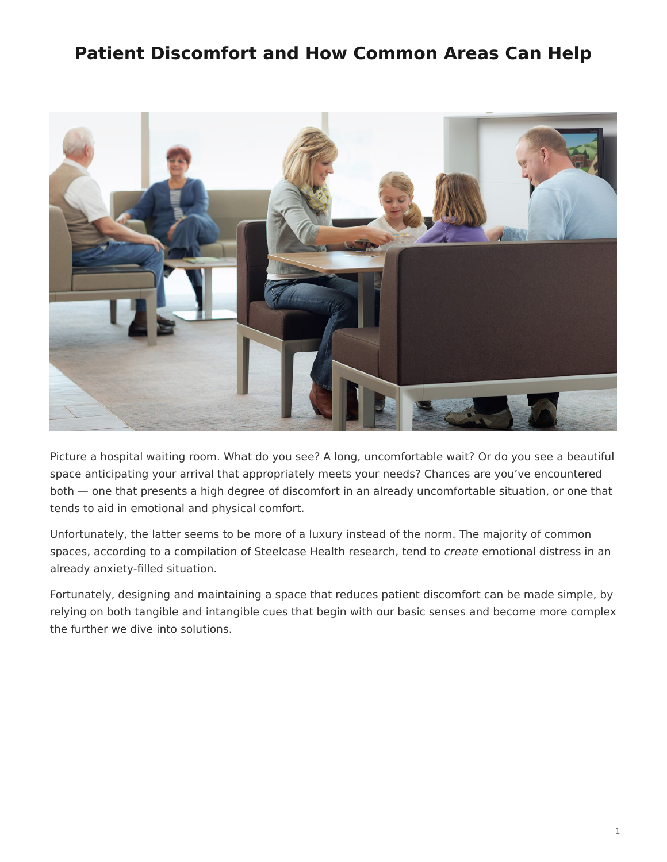## <span id="page-0-0"></span>**Patient Discomfort and How Common Areas Can Help**



Picture a hospital waiting room. What do you see? A long, uncomfortable wait? Or do you see a beautiful space anticipating your arrival that appropriately meets your needs? Chances are you've encountered both — one that presents a high degree of discomfort in an already uncomfortable situation, or one that tends to aid in emotional and physical comfort.

Unfortunately, the latter seems to be more of a luxury instead of the norm. The majority of common spaces, according to a compilation of Steelcase Health research, tend to *create* emotional distress in an already anxiety-filled situation.

Fortunately, designing and maintaining a space that reduces patient discomfort can be made simple, by relying on both tangible and intangible cues that begin with our basic senses and become more complex the further we dive into solutions.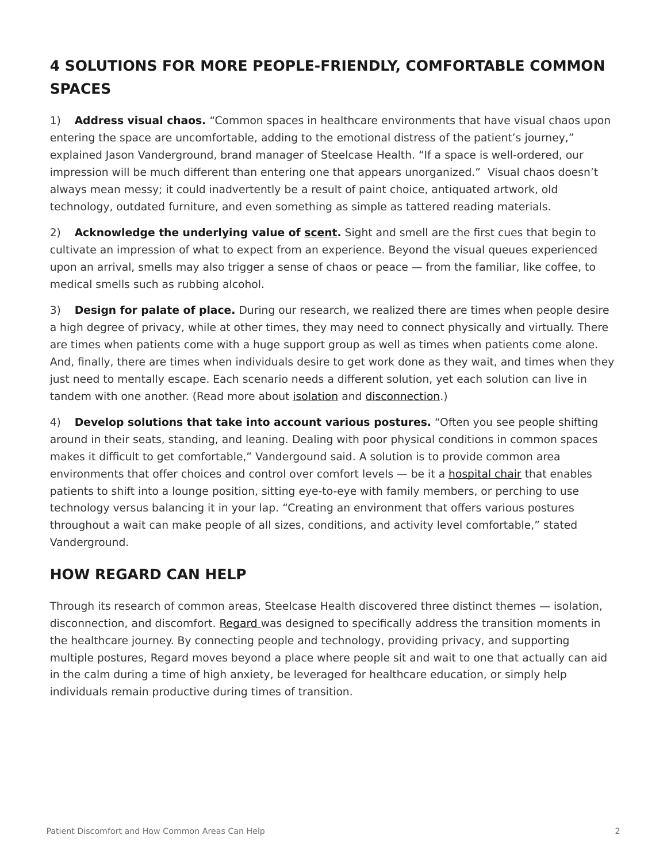## **4 SOLUTIONS FOR MORE PEOPLE-FRIENDLY, COMFORTABLE COMMON SPACES**

1) **Address visual chaos.** "Common spaces in healthcare environments that have visual chaos upon entering the space are uncomfortable, adding to the emotional distress of the patient's journey," explained Jason Vanderground, brand manager of Steelcase Health. "If a space is well-ordered, our impression will be much different than entering one that appears unorganized." Visual chaos doesn't always mean messy; it could inadvertently be a result of paint choice, antiquated artwork, old technology, outdated furniture, and even something as simple as tattered reading materials.

2) **Acknowledge the underlying value of [scent.](http://www.ambius.com/blog/5-ways-smell-influences-your-everyday-life/)** Sight and smell are the first cues that begin to cultivate an impression of what to expect from an experience. Beyond the visual queues experienced upon an arrival, smells may also trigger a sense of chaos or peace — from the familiar, like coffee, to medical smells such as rubbing alcohol.

3) **Design for palate of place.** During our research, we realized there are times when people desire a high degree of privacy, while at other times, they may need to connect physically and virtually. There are times when patients come with a huge support group as well as times when patients come alone. And, finally, there are times when individuals desire to get work done as they wait, and times when they just need to mentally escape. Each scenario needs a different solution, yet each solution can live in tandem with one another. (Read more about [isolation](https://www.steelcase.com/research/articles/patient-isolation-how-technology-can-solve-it/) and [disconnection](https://www.steelcase.com/research/articles/patient-disconnect-and-how-to-better-use-common-areas/).)

4) **Develop solutions that take into account various postures.** "Often you see people shifting around in their seats, standing, and leaning. Dealing with poor physical conditions in common spaces makes it difficult to get comfortable," Vandergound said. A solution is to provide common area environments that offer choices and control over comfort levels — be it a [hospital chair](https://www.steelcase.com/products/patient-chairs/) that enables patients to shift into a lounge position, sitting eye-to-eye with family members, or perching to use technology versus balancing it in your lap. "Creating an environment that offers various postures throughout a wait can make people of all sizes, conditions, and activity level comfortable," stated Vanderground.

## **HOW REGARD CAN HELP**

Through its research of common areas, Steelcase Health discovered three distinct themes — isolation, disconnection, and discomfort. [Regard](https://www.steelcase.com/products/bookcases-cabinets/regard/) was designed to specifically address the transition moments in the healthcare journey. By connecting people and technology, providing privacy, and supporting multiple postures, Regard moves beyond a place where people sit and wait to one that actually can aid in the calm during a time of high anxiety, be leveraged for healthcare education, or simply help individuals remain productive during times of transition.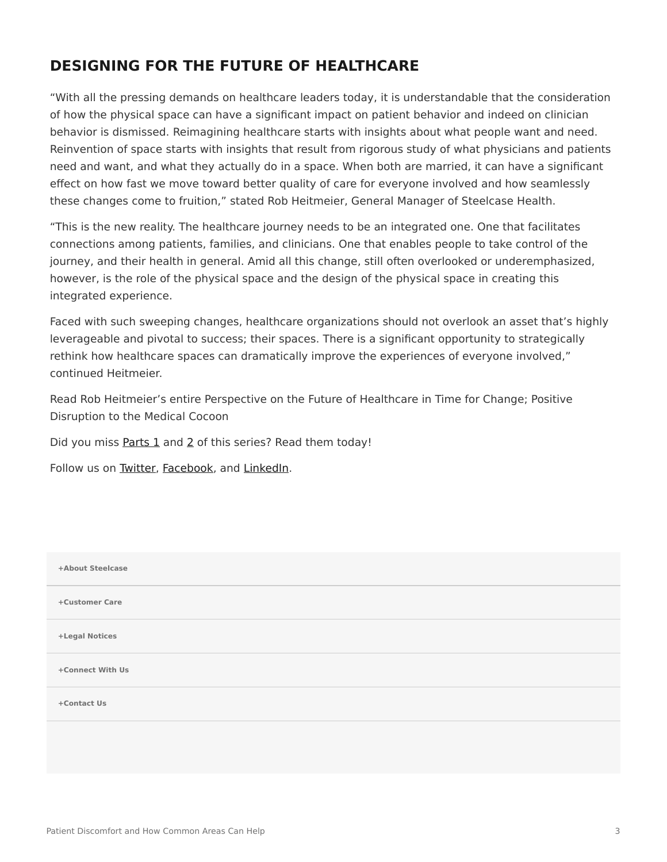## **DESIGNING FOR THE FUTURE OF HEALTHCARE**

"With all the pressing demands on healthcare leaders today, it is understandable that the consideration of how the physical space can have a significant impact on patient behavior and indeed on clinician behavior is dismissed. Reimagining healthcare starts with insights about what people want and need. Reinvention of space starts with insights that result from rigorous study of what physicians and patients need and want, and what they actually do in a space. When both are married, it can have a significant effect on how fast we move toward better quality of care for everyone involved and how seamlessly these changes come to fruition," stated Rob Heitmeier, General Manager of Steelcase Health.

"This is the new reality. The healthcare journey needs to be an integrated one. One that facilitates connections among patients, families, and clinicians. One that enables people to take control of the journey, and their health in general. Amid all this change, still often overlooked or underemphasized, however, is the role of the physical space and the design of the physical space in creating this integrated experience.

Faced with such sweeping changes, healthcare organizations should not overlook an asset that's highly leverageable and pivotal to success; their spaces. There is a significant opportunity to strategically rethink how healthcare spaces can dramatically improve the experiences of everyone involved," continued Heitmeier.

Read Rob Heitmeier's entire Perspective on the Future of Healthcare in Time for Change; Positive Disruption to the Medical Cocoon

Did you miss **[Parts 1](https://www.steelcase.com/posts/patient-isolation-how-technology-can-solve-it/)** and [2](https://www.steelcase.com/posts/patient-disconnect-and-how-to-better-use-common-areas/) of this series? Read them today!

Follow us on [Twitter](http://twitter.com/steelcasehealth), [Facebook,](http://facebook.com/steelcasehealth) and [LinkedIn](http://www.linkedin.com/company/nurture-by-steelcase).

| +About Steelcase |  |
|------------------|--|
| +Customer Care   |  |
| +Legal Notices   |  |
| +Connect With Us |  |
| +Contact Us      |  |
|                  |  |